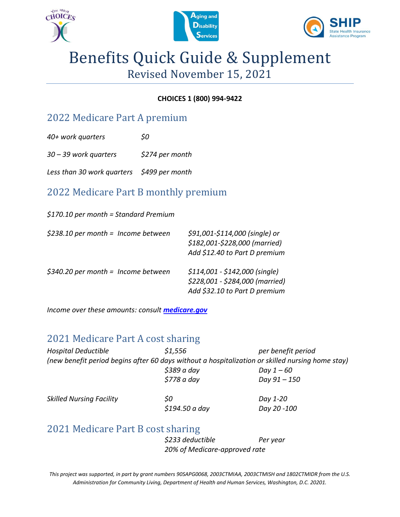





# Benefits Quick Guide & Supplement Revised November 15, 2021

### **CHOICES 1 (800) 994-9422**

### 2022 Medicare Part A premium

*40+ work quarters \$0*

*30 – 39 work quarters \$274 per month* 

*Less than 30 work quarters \$499 per month*

### 2022 Medicare Part B monthly premium

*\$170.10 per month = Standard Premium*

| $$238.10$ per month = Income between | \$91,001-\$114,000 (single) or<br>\$182,001-\$228,000 (married)<br>Add \$12.40 to Part D premium   |
|--------------------------------------|----------------------------------------------------------------------------------------------------|
| $$340.20$ per month = Income between | $$114,001 - $142,000$ (single)<br>\$228,001 - \$284,000 (married)<br>Add \$32.10 to Part D premium |

*Income over these amounts: consult [medicare.gov](https://www.medicare.gov/your-medicare-costs/medicare-costs-at-a-glance)*

### 2021 Medicare Part A cost sharing

| <b>Hospital Deductible</b>      | \$1,556     | per benefit period                                                                               |
|---------------------------------|-------------|--------------------------------------------------------------------------------------------------|
|                                 |             | (new benefit period begins after 60 days without a hospitalization or skilled nursing home stay) |
|                                 | \$389 a day | Day 1 – 60                                                                                       |
|                                 | \$778 a day | Day 91 - 150                                                                                     |
| <b>Skilled Nursing Facility</b> | 50          | Day 1-20                                                                                         |

2021 Medicare Part B cost sharing

*\$233 deductible Per year 20% of Medicare-approved rate*

*\$194.50 a day Day 20 -100*

*This project was supported, in part by grant numbers 90SAPG0068, 2003CTMIAA, 2003CTMISH and 1802CTMIDR from the U.S. Administration for Community Living, Department of Health and Human Services, Washington, D.C. 20201.*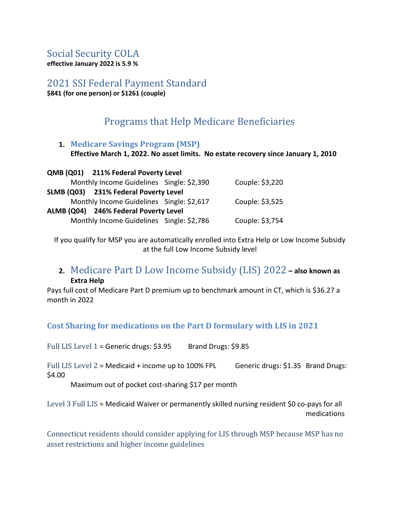### Social Security COLA

**effective January 2022 is 5.9 %** 

2021 SSI Federal Payment Standard

**\$841 (for one person) or \$1261 (couple)**

### Programs that Help Medicare Beneficiaries

### **1. Medicare Savings Program (MSP) Effective March 1, 2022. No asset limits. No estate recovery since January 1, 2010**

| QMB (Q01) 211% Federal Poverty Level      |                 |
|-------------------------------------------|-----------------|
| Monthly Income Guidelines Single: \$2,390 | Couple: \$3,220 |
| SLMB (Q03) 231% Federal Poverty Level     |                 |
| Monthly Income Guidelines Single: \$2,617 | Couple: \$3,525 |
| ALMB (Q04) 246% Federal Poverty Level     |                 |
| Monthly Income Guidelines Single: \$2,786 | Couple: \$3,754 |

If you qualify for MSP you are automatically enrolled into Extra Help or Low Income Subsidy at the full Low Income Subsidy level

### **2.** Medicare Part D Low Income Subsidy (LIS) 2022 **– also known as Extra Help**

Pays full cost of Medicare Part D premium up to benchmark amount in CT, which is \$36.27 a month in 2022

**Cost Sharing for medications on the Part D formulary with LIS in 2021**

Full LIS Level  $1 =$  Generic drugs: \$3.95 Brand Drugs: \$9.85

Full LIS Level  $2$  = Medicaid + income up to 100% FPL Generic drugs: \$1.35 Brand Drugs: \$4.00

Maximum out of pocket cost-sharing \$17 per month

Level 3 Full LIS = Medicaid Waiver or permanently skilled nursing resident \$0 co-pays for all medications

Connecticut residents should consider applying for LIS through MSP because MSP has no asset restrictions and higher income guidelines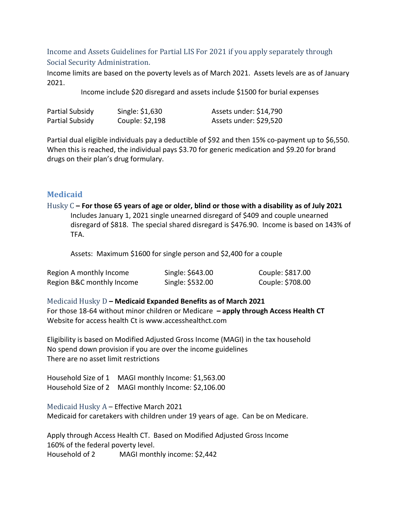### Income and Assets Guidelines for Partial LIS For 2021 if you apply separately through Social Security Administration.

Income limits are based on the poverty levels as of March 2021. Assets levels are as of January 2021.

Income include \$20 disregard and assets include \$1500 for burial expenses

| Partial Subsidy | Single: \$1,630 | Assets under: \$14,790 |
|-----------------|-----------------|------------------------|
| Partial Subsidy | Couple: \$2,198 | Assets under: \$29,520 |

Partial dual eligible individuals pay a deductible of \$92 and then 15% co-payment up to \$6,550. When this is reached, the individual pays \$3.70 for generic medication and \$9.20 for brand drugs on their plan's drug formulary.

### **Medicaid**

Husky C **– For those 65 years of age or older, blind or those with a disability as of July 2021** Includes January 1, 2021 single unearned disregard of \$409 and couple unearned disregard of \$818. The special shared disregard is \$476.90. Income is based on 143% of TFA.

Assets: Maximum \$1600 for single person and \$2,400 for a couple

| Region A monthly Income   | Single: \$643.00 | Couple: \$817.00 |
|---------------------------|------------------|------------------|
| Region B&C monthly Income | Single: \$532.00 | Couple: \$708.00 |

Medicaid Husky D **– Medicaid Expanded Benefits as of March 2021** For those 18-64 without minor children or Medicare **– apply through Access Health CT** Website for access health Ct is www.accesshealthct.com

Eligibility is based on Modified Adjusted Gross Income (MAGI) in the tax household No spend down provision if you are over the income guidelines There are no asset limit restrictions

Household Size of 1 MAGI monthly Income: \$1,563.00 Household Size of 2 MAGI monthly Income: \$2,106.00

Medicaid Husky A – Effective March 2021 Medicaid for caretakers with children under 19 years of age. Can be on Medicare.

Apply through Access Health CT. Based on Modified Adjusted Gross Income 160% of the federal poverty level. Household of 2 MAGI monthly income: \$2,442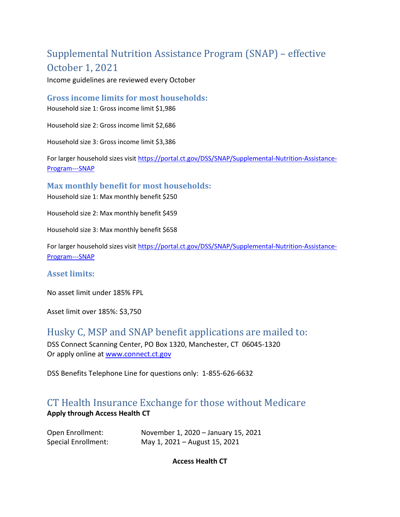## Supplemental Nutrition Assistance Program (SNAP) – effective October 1, 2021

Income guidelines are reviewed every October

#### **Gross income limits for most households:**

Household size 1: Gross income limit \$1,986

Household size 2: Gross income limit \$2,686

Household size 3: Gross income limit \$3,386

For larger household sizes visit [https://portal.ct.gov/DSS/SNAP/Supplemental-Nutrition-Assistance-](https://portal.ct.gov/DSS/SNAP/Supplemental-Nutrition-Assistance-Program---SNAP)[Program---SNAP](https://portal.ct.gov/DSS/SNAP/Supplemental-Nutrition-Assistance-Program---SNAP)

### **Max monthly benefit for most households:**

Household size 1: Max monthly benefit \$250

Household size 2: Max monthly benefit \$459

Household size 3: Max monthly benefit \$658

For larger household sizes visit [https://portal.ct.gov/DSS/SNAP/Supplemental-Nutrition-Assistance-](https://portal.ct.gov/DSS/SNAP/Supplemental-Nutrition-Assistance-Program---SNAP)[Program---SNAP](https://portal.ct.gov/DSS/SNAP/Supplemental-Nutrition-Assistance-Program---SNAP)

### **Asset limits:**

No asset limit under 185% FPL

Asset limit over 185%: \$3,750

### Husky C, MSP and SNAP benefit applications are mailed to:

DSS Connect Scanning Center, PO Box 1320, Manchester, CT 06045-1320 Or apply online a[t www.connect.ct.gov](http://www.connect.ct.gov/)

DSS Benefits Telephone Line for questions only: 1-855-626-6632

### CT Health Insurance Exchange for those without Medicare **Apply through Access Health CT**

| Open Enrollment:    | November 1, 2020 – January 15, 2021 |
|---------------------|-------------------------------------|
| Special Enrollment: | May 1, 2021 – August 15, 2021       |

**Access Health CT**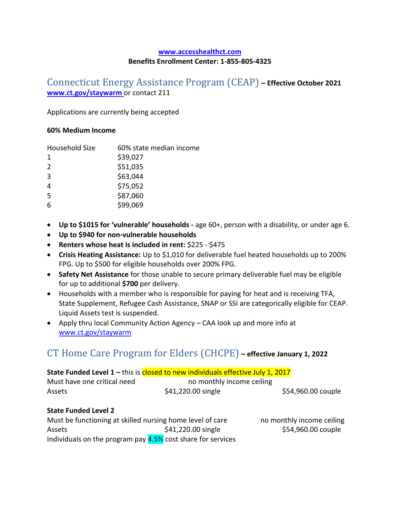#### **[www.accesshealthct.com](http://www.accesshealthct.com/) Benefits Enrollment Center: 1-855-805-4325**

### Connecticut Energy Assistance Program (CEAP) **– Effective October 2021 [www.ct.gov/staywarm](http://www.ct.gov/staywarm)** or contact 211

Applications are currently being accepted

#### **60% Medium Income**

| Household Size | 60% state median income |
|----------------|-------------------------|
| 1              | \$39,027                |
| 2              | \$51,035                |
| 3              | \$63,044                |
| 4              | \$75,052                |
| .5             | \$87,060                |
| 6              | \$99,069                |

- **Up to \$1015 for 'vulnerable' households -** age 60+, person with a disability, or under age 6.
- **Up to \$940 for non-vulnerable households**
- **Renters whose heat is included in rent:** \$225 \$475
- **Crisis Heating Assistance:** Up to \$1,010 for deliverable fuel heated households up to 200% FPG. Up to \$500 for eligible households over 200% FPG.
- **Safety Net Assistance** for those unable to secure primary deliverable fuel may be eligible for up to additional **\$700** per delivery.
- Households with a member who is responsible for paying for heat and is receiving TFA, State Supplement, Refugee Cash Assistance, SNAP or SSI are categorically eligible for CEAP. Liquid Assets test is suspended.
- Apply thru local Community Action Agency CAA look up and more info at [www.ct.gov/staywarm](http://www.ct.gov/staywarm)

### CT Home Care Program for Elders (CHCPE) **– effective January 1, 2022**

| State Funded Level $1$ – this is closed to new individuals effective July 1, 2017 |                           |                    |
|-----------------------------------------------------------------------------------|---------------------------|--------------------|
| Must have one critical need                                                       | no monthly income ceiling |                    |
| Assets                                                                            | \$41,220.00 single        | \$54,960.00 couple |
| <b>State Funded Level 2</b>                                                       |                           |                    |

| Must be functioning at skilled nursing home level of care   |                    |
|-------------------------------------------------------------|--------------------|
| Assets                                                      | \$41,220.00 single |
| Individuals on the program pay 4.5% cost share for services |                    |

no monthly income ceiling \$54,960.00 couple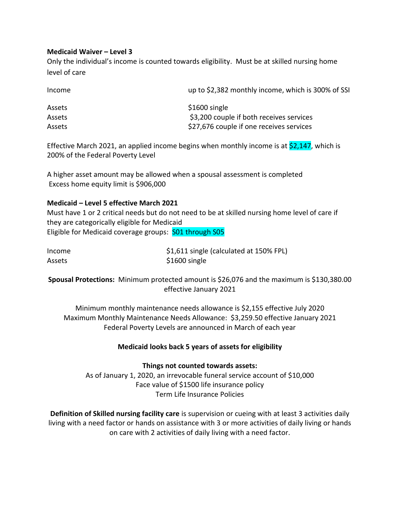#### **Medicaid Waiver – Level 3**

Only the individual's income is counted towards eligibility. Must be at skilled nursing home level of care

| Income        | up to \$2,382 monthly income, which is 300% of SSI |
|---------------|----------------------------------------------------|
| <b>Assets</b> | \$1600 single                                      |
| <b>Assets</b> | \$3,200 couple if both receives services           |
| Assets        | \$27,676 couple if one receives services           |

Effective March 2021, an applied income begins when monthly income is at  $\frac{2,147}{,}$  which is 200% of the Federal Poverty Level

A higher asset amount may be allowed when a spousal assessment is completed Excess home equity limit is \$906,000

#### **Medicaid – Level 5 effective March 2021**

Must have 1 or 2 critical needs but do not need to be at skilled nursing home level of care if they are categorically eligible for Medicaid Eligible for Medicaid coverage groups: S01 through S05

| Income | \$1,611 single (calculated at 150% FPL) |
|--------|-----------------------------------------|
| Assets | \$1600 single                           |

**Spousal Protections:** Minimum protected amount is \$26,076 and the maximum is \$130,380.00 effective January 2021

Minimum monthly maintenance needs allowance is \$2,155 effective July 2020 Maximum Monthly Maintenance Needs Allowance: \$3,259.50 effective January 2021 Federal Poverty Levels are announced in March of each year

#### **Medicaid looks back 5 years of assets for eligibility**

### **Things not counted towards assets:**

As of January 1, 2020, an irrevocable funeral service account of \$10,000 Face value of \$1500 life insurance policy Term Life Insurance Policies

**Definition of Skilled nursing facility care** is supervision or cueing with at least 3 activities daily living with a need factor or hands on assistance with 3 or more activities of daily living or hands on care with 2 activities of daily living with a need factor.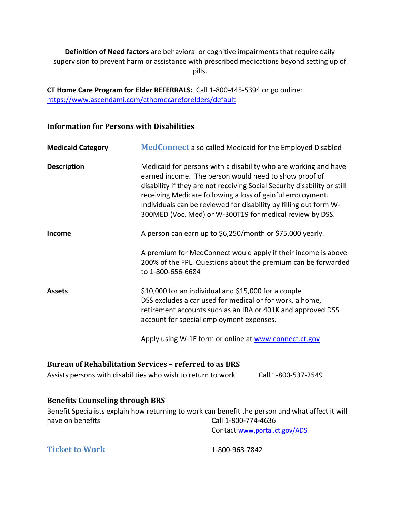**Definition of Need factors** are behavioral or cognitive impairments that require daily supervision to prevent harm or assistance with prescribed medications beyond setting up of pills.

**CT Home Care Program for Elder REFERRALS:** Call 1-800-445-5394 or go online: <https://www.ascendami.com/cthomecareforelders/default>

#### **Information for Persons with Disabilities**

| <b>Medicaid Category</b> | <b>MedConnect</b> also called Medicaid for the Employed Disabled                                                                                                                                                                                                                                                                                                                                    |
|--------------------------|-----------------------------------------------------------------------------------------------------------------------------------------------------------------------------------------------------------------------------------------------------------------------------------------------------------------------------------------------------------------------------------------------------|
| <b>Description</b>       | Medicaid for persons with a disability who are working and have<br>earned income. The person would need to show proof of<br>disability if they are not receiving Social Security disability or still<br>receiving Medicare following a loss of gainful employment.<br>Individuals can be reviewed for disability by filling out form W-<br>300MED (Voc. Med) or W-300T19 for medical review by DSS. |
| Income                   | A person can earn up to \$6,250/month or \$75,000 yearly.                                                                                                                                                                                                                                                                                                                                           |
|                          | A premium for MedConnect would apply if their income is above<br>200% of the FPL. Questions about the premium can be forwarded<br>to 1-800-656-6684                                                                                                                                                                                                                                                 |
| <b>Assets</b>            | \$10,000 for an individual and \$15,000 for a couple<br>DSS excludes a car used for medical or for work, a home,<br>retirement accounts such as an IRA or 401K and approved DSS<br>account for special employment expenses.                                                                                                                                                                         |
|                          |                                                                                                                                                                                                                                                                                                                                                                                                     |

Apply using W-1E form or online at [www.connect.ct.gov](http://www.connect.ct.gov/)

### **Bureau of Rehabilitation Services – referred to as BRS**

| Assists persons with disabilities who wish to return to work | Call 1-800-537-2549 |
|--------------------------------------------------------------|---------------------|
|--------------------------------------------------------------|---------------------|

#### **Benefits Counseling through BRS**

Benefit Specialists explain how returning to work can benefit the person and what affect it will have on benefits and the Call 1-800-774-4636

Contact [www.portal.ct.gov/ADS](http://www.portal.ct.gov/ADS)

**Ticket to Work** 1-800-968-7842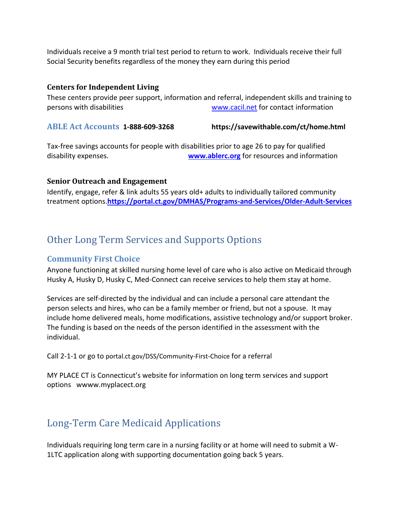Individuals receive a 9 month trial test period to return to work. Individuals receive their full Social Security benefits regardless of the money they earn during this period

#### **Centers for Independent Living**

These centers provide peer support, information and referral, independent skills and training to persons with disabilities [www.cacil.net](http://www.cacil.net/) for contact information

**ABLE Act Accounts 1-888-609-3268 https://savewithable.com/ct/home.html**

Tax-free savings accounts for people with disabilities prior to age 26 to pay for qualified disability expenses. **[www.ablerc.org](http://www.ablerc.org/)** for resources and information

### **Senior Outreach and Engagement**

Identify, engage, refer & link adults 55 years old+ adults to individually tailored community treatment options.**https://portal.ct.gov/DMHAS/Programs-and-Services/Older-Adult-Services**

### Other Long Term Services and Supports Options

### **Community First Choice**

Anyone functioning at skilled nursing home level of care who is also active on Medicaid through Husky A, Husky D, Husky C, Med-Connect can receive services to help them stay at home.

Services are self-directed by the individual and can include a personal care attendant the person selects and hires, who can be a family member or friend, but not a spouse. It may include home delivered meals, home modifications, assistive technology and/or support broker. The funding is based on the needs of the person identified in the assessment with the individual.

Call 2-1-1 or go to portal.ct.gov/DSS/Community-First-Choice for a referral

MY PLACE CT is Connecticut's website for information on long term services and support options wwww.myplacect.org

### Long-Term Care Medicaid Applications

Individuals requiring long term care in a nursing facility or at home will need to submit a W-1LTC application along with supporting documentation going back 5 years.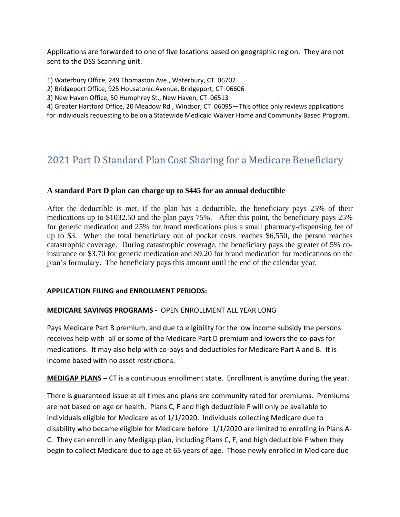Applications are forwarded to one of five locations based on geographic region. They are not sent to the DSS Scanning unit.

1) Waterbury Office, 249 Thomaston Ave., Waterbury, CT 06702

2) Bridgeport Office, 925 Housatonic Avenue, Bridgeport, CT 06606

3) New Haven Office, 50 Humphrey St., New Haven, CT 06513

4) Greater Hartford Office, 20 Meadow Rd., Windsor, CT 06095—This office only reviews applications for individuals requesting to be on a Statewide Medicaid Waiver Home and Community Based Program.

### 2021 Part D Standard Plan Cost Sharing for a Medicare Beneficiary

### **A standard Part D plan can charge up to \$445 for an annual deductible**

After the deductible is met, if the plan has a deductible, the beneficiary pays 25% of their medications up to \$1032.50 and the plan pays 75%. After this point, the beneficiary pays 25% for generic medication and 25% for brand medications plus a small pharmacy-dispensing fee of up to \$3. When the total beneficiary out of pocket costs reaches \$6,550, the person reaches catastrophic coverage. During catastrophic coverage, the beneficiary pays the greater of 5% coinsurance or \$3.70 for generic medication and \$9.20 for brand medication for medications on the plan's formulary. The beneficiary pays this amount until the end of the calendar year.

### **APPLICATION FILING and ENROLLMENT PERIODS:**

### **MEDICARE SAVINGS PROGRAMS -** OPEN ENROLLMENT ALL YEAR LONG

Pays Medicare Part B premium, and due to eligibility for the low income subsidy the persons receives help with all or some of the Medicare Part D premium and lowers the co-pays for medications. It may also help with co-pays and deductibles for Medicare Part A and B. It is income based with no asset restrictions.

**MEDIGAP PLANS –** CT is a continuous enrollment state. Enrollment is anytime during the year.

There is guaranteed issue at all times and plans are community rated for premiums. Premiums are not based on age or health. Plans C, F and high deductible F will only be available to individuals eligible for Medicare as of 1/1/2020. Individuals collecting Medicare due to disability who became eligible for Medicare before 1/1/2020 are limited to enrolling in Plans A-C. They can enroll in any Medigap plan, including Plans C, F, and high deductible F when they begin to collect Medicare due to age at 65 years of age. Those newly enrolled in Medicare due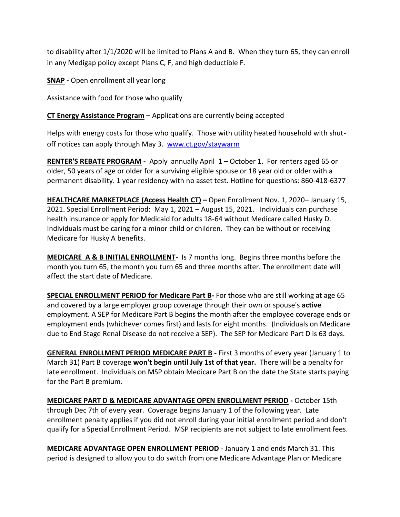to disability after 1/1/2020 will be limited to Plans A and B. When they turn 65, they can enroll in any Medigap policy except Plans C, F, and high deductible F.

**SNAP -** Open enrollment all year long

Assistance with food for those who qualify

**CT Energy Assistance Program** – Applications are currently being accepted

Helps with energy costs for those who qualify. Those with utility heated household with shutoff notices can apply through May 3. [www.ct.gov/staywarm](http://www.ct.gov/staywarm)

**RENTER'S REBATE PROGRAM -** Apply annually April 1 – October 1. For renters aged 65 or older, 50 years of age or older for a surviving eligible spouse or 18 year old or older with a permanent disability. 1 year residency with no asset test. Hotline for questions: 860-418-6377

**HEALTHCARE MARKETPLACE (Access Health CT) –** Open Enrollment Nov. 1, 2020– January 15, 2021. Special Enrollment Period: May 1, 2021 – August 15, 2021. Individuals can purchase health insurance or apply for Medicaid for adults 18-64 without Medicare called Husky D. Individuals must be caring for a minor child or children. They can be without or receiving Medicare for Husky A benefits.

**MEDICARE A & B INITIAL ENROLLMENT-** Is 7 months long. Begins three months before the month you turn 65, the month you turn 65 and three months after. The enrollment date will affect the start date of Medicare.

**SPECIAL ENROLLMENT PERIOD for Medicare Part B-** For those who are still working at age 65 and covered by a large employer group coverage through their own or spouse's **active**  employment. A SEP for Medicare Part B begins the month after the employee coverage ends or employment ends (whichever comes first) and lasts for eight months. (Individuals on Medicare due to End Stage Renal Disease do not receive a SEP). The SEP for Medicare Part D is 63 days.

**GENERAL ENROLLMENT PERIOD MEDICARE PART B -** First 3 months of every year (January 1 to March 31) Part B coverage **won't begin until July 1st of that year.** There will be a penalty for late enrollment. Individuals on MSP obtain Medicare Part B on the date the State starts paying for the Part B premium.

**MEDICARE PART D & MEDICARE ADVANTAGE OPEN ENROLLMENT PERIOD -** October 15th through Dec 7th of every year. Coverage begins January 1 of the following year. Late enrollment penalty applies if you did not enroll during your initial enrollment period and don't qualify for a Special Enrollment Period. MSP recipients are not subject to late enrollment fees.

**MEDICARE ADVANTAGE OPEN ENROLLMENT PERIOD** - January 1 and ends March 31. This period is designed to allow you to do switch from one Medicare Advantage Plan or Medicare